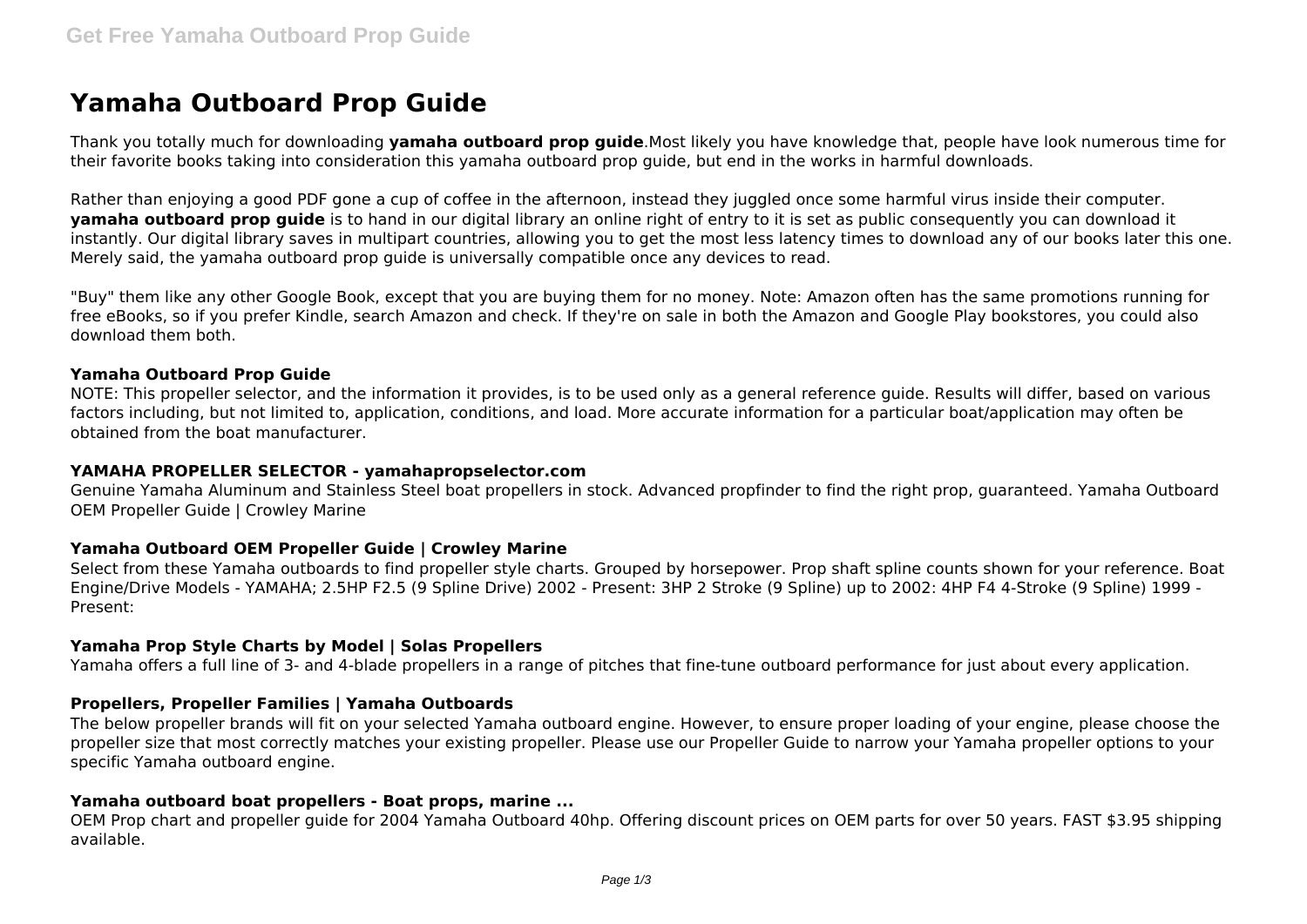# **Yamaha Outboard Prop Guide**

Thank you totally much for downloading **yamaha outboard prop guide**.Most likely you have knowledge that, people have look numerous time for their favorite books taking into consideration this yamaha outboard prop guide, but end in the works in harmful downloads.

Rather than enjoying a good PDF gone a cup of coffee in the afternoon, instead they juggled once some harmful virus inside their computer. **yamaha outboard prop guide** is to hand in our digital library an online right of entry to it is set as public consequently you can download it instantly. Our digital library saves in multipart countries, allowing you to get the most less latency times to download any of our books later this one. Merely said, the yamaha outboard prop guide is universally compatible once any devices to read.

"Buy" them like any other Google Book, except that you are buying them for no money. Note: Amazon often has the same promotions running for free eBooks, so if you prefer Kindle, search Amazon and check. If they're on sale in both the Amazon and Google Play bookstores, you could also download them both.

#### **Yamaha Outboard Prop Guide**

NOTE: This propeller selector, and the information it provides, is to be used only as a general reference guide. Results will differ, based on various factors including, but not limited to, application, conditions, and load. More accurate information for a particular boat/application may often be obtained from the boat manufacturer.

#### **YAMAHA PROPELLER SELECTOR - yamahapropselector.com**

Genuine Yamaha Aluminum and Stainless Steel boat propellers in stock. Advanced propfinder to find the right prop, guaranteed. Yamaha Outboard OEM Propeller Guide | Crowley Marine

# **Yamaha Outboard OEM Propeller Guide | Crowley Marine**

Select from these Yamaha outboards to find propeller style charts. Grouped by horsepower. Prop shaft spline counts shown for your reference. Boat Engine/Drive Models - YAMAHA; 2.5HP F2.5 (9 Spline Drive) 2002 - Present: 3HP 2 Stroke (9 Spline) up to 2002: 4HP F4 4-Stroke (9 Spline) 1999 - Present:

#### **Yamaha Prop Style Charts by Model | Solas Propellers**

Yamaha offers a full line of 3- and 4-blade propellers in a range of pitches that fine-tune outboard performance for just about every application.

# **Propellers, Propeller Families | Yamaha Outboards**

The below propeller brands will fit on your selected Yamaha outboard engine. However, to ensure proper loading of your engine, please choose the propeller size that most correctly matches your existing propeller. Please use our Propeller Guide to narrow your Yamaha propeller options to your specific Yamaha outboard engine.

#### **Yamaha outboard boat propellers - Boat props, marine ...**

OEM Prop chart and propeller guide for 2004 Yamaha Outboard 40hp. Offering discount prices on OEM parts for over 50 years. FAST \$3.95 shipping available.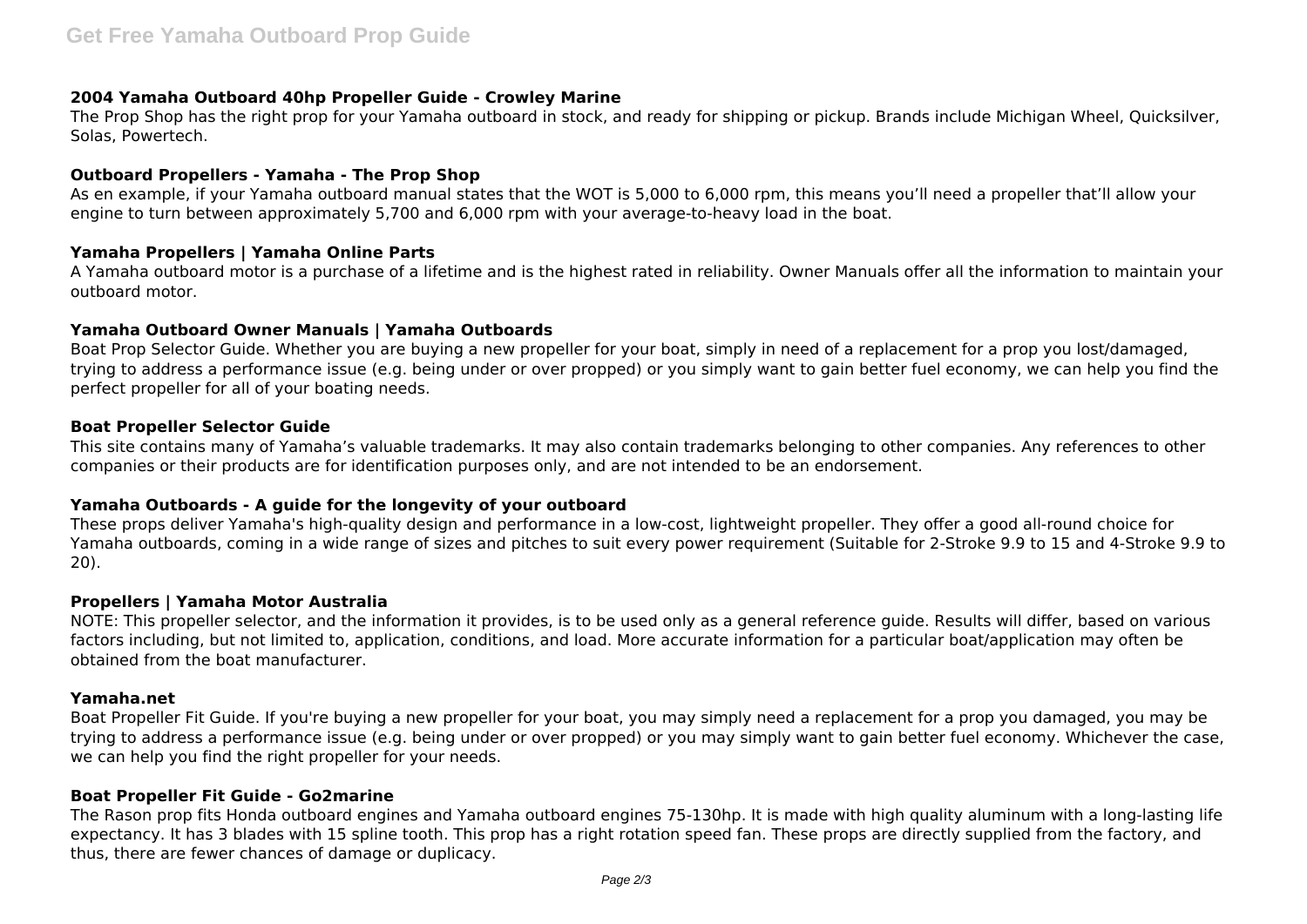# **2004 Yamaha Outboard 40hp Propeller Guide - Crowley Marine**

The Prop Shop has the right prop for your Yamaha outboard in stock, and ready for shipping or pickup. Brands include Michigan Wheel, Quicksilver, Solas, Powertech.

# **Outboard Propellers - Yamaha - The Prop Shop**

As en example, if your Yamaha outboard manual states that the WOT is 5,000 to 6,000 rpm, this means you'll need a propeller that'll allow your engine to turn between approximately 5,700 and 6,000 rpm with your average-to-heavy load in the boat.

# **Yamaha Propellers | Yamaha Online Parts**

A Yamaha outboard motor is a purchase of a lifetime and is the highest rated in reliability. Owner Manuals offer all the information to maintain your outboard motor.

# **Yamaha Outboard Owner Manuals | Yamaha Outboards**

Boat Prop Selector Guide. Whether you are buying a new propeller for your boat, simply in need of a replacement for a prop you lost/damaged, trying to address a performance issue (e.g. being under or over propped) or you simply want to gain better fuel economy, we can help you find the perfect propeller for all of your boating needs.

# **Boat Propeller Selector Guide**

This site contains many of Yamaha's valuable trademarks. It may also contain trademarks belonging to other companies. Any references to other companies or their products are for identification purposes only, and are not intended to be an endorsement.

# **Yamaha Outboards - A guide for the longevity of your outboard**

These props deliver Yamaha's high-quality design and performance in a low-cost, lightweight propeller. They offer a good all-round choice for Yamaha outboards, coming in a wide range of sizes and pitches to suit every power requirement (Suitable for 2-Stroke 9.9 to 15 and 4-Stroke 9.9 to 20).

# **Propellers | Yamaha Motor Australia**

NOTE: This propeller selector, and the information it provides, is to be used only as a general reference guide. Results will differ, based on various factors including, but not limited to, application, conditions, and load. More accurate information for a particular boat/application may often be obtained from the boat manufacturer.

# **Yamaha.net**

Boat Propeller Fit Guide. If you're buying a new propeller for your boat, you may simply need a replacement for a prop you damaged, you may be trying to address a performance issue (e.g. being under or over propped) or you may simply want to gain better fuel economy. Whichever the case, we can help you find the right propeller for your needs.

# **Boat Propeller Fit Guide - Go2marine**

The Rason prop fits Honda outboard engines and Yamaha outboard engines 75-130hp. It is made with high quality aluminum with a long-lasting life expectancy. It has 3 blades with 15 spline tooth. This prop has a right rotation speed fan. These props are directly supplied from the factory, and thus, there are fewer chances of damage or duplicacy.